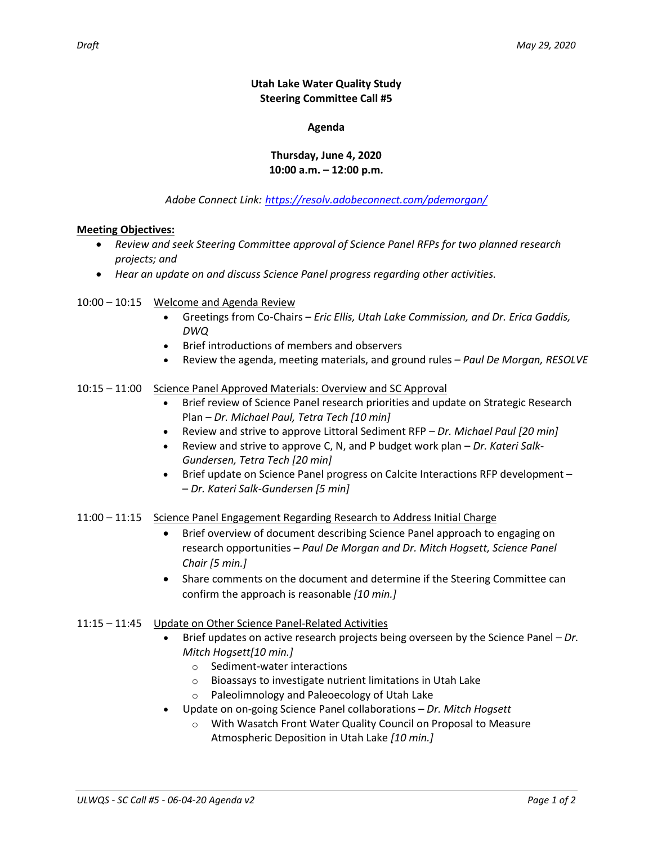## **Utah Lake Water Quality Study Steering Committee Call #5**

#### **Agenda**

# **Thursday, June 4, 2020 10:00 a.m. – 12:00 p.m.**

*Adobe Connect Link: <https://resolv.adobeconnect.com/pdemorgan/>*

## **Meeting Objectives:**

- *Review and seek Steering Committee approval of Science Panel RFPs for two planned research projects; and*
- *Hear an update on and discuss Science Panel progress regarding other activities.*
- 10:00 10:15 Welcome and Agenda Review
	- Greetings from Co-Chairs *Eric Ellis, Utah Lake Commission, and Dr. Erica Gaddis, DWQ*
	- Brief introductions of members and observers
	- Review the agenda, meeting materials, and ground rules *Paul De Morgan, RESOLVE*

## 10:15 – 11:00 Science Panel Approved Materials: Overview and SC Approval

- Brief review of Science Panel research priorities and update on Strategic Research Plan – *Dr. Michael Paul, Tetra Tech [10 min]*
- Review and strive to approve Littoral Sediment RFP *Dr. Michael Paul [20 min]*
- Review and strive to approve C, N, and P budget work plan *Dr. Kateri Salk-Gundersen, Tetra Tech [20 min]*
- Brief update on Science Panel progress on Calcite Interactions RFP development -– *Dr. Kateri Salk-Gundersen [5 min]*

#### 11:00 – 11:15 Science Panel Engagement Regarding Research to Address Initial Charge

- Brief overview of document describing Science Panel approach to engaging on research opportunities *– Paul De Morgan and Dr. Mitch Hogsett, Science Panel Chair [5 min.]*
- Share comments on the document and determine if the Steering Committee can confirm the approach is reasonable *[10 min.]*

#### 11:15 – 11:45 Update on Other Science Panel-Related Activities

- Brief updates on active research projects being overseen by the Science Panel *– Dr. Mitch Hogsett[10 min.]*
	- o Sediment-water interactions
	- o Bioassays to investigate nutrient limitations in Utah Lake
	- o Paleolimnology and Paleoecology of Utah Lake
- Update on on-going Science Panel collaborations *– Dr. Mitch Hogsett*
	- o With Wasatch Front Water Quality Council on Proposal to Measure Atmospheric Deposition in Utah Lake *[10 min.]*